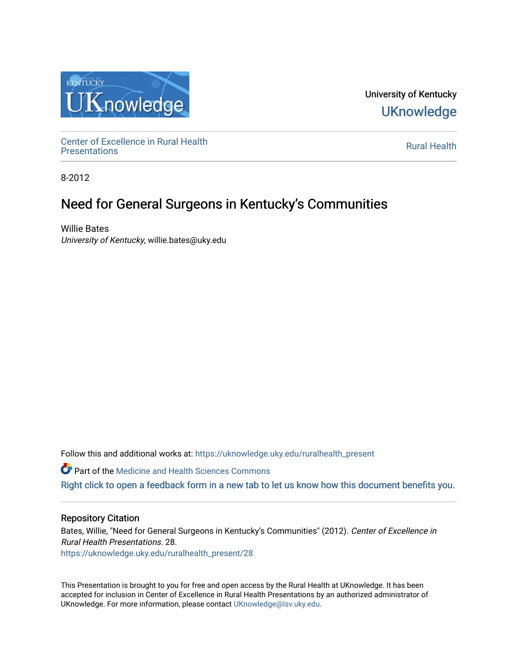

University of Kentucky **UKnowledge** 

Center of Excellence in Rural Health<br>Presentations Definer of Excellence in Kural Health<br>[Presentations](https://uknowledge.uky.edu/ruralhealth_present) **Rural Health** 

8-2012

### Need for General Surgeons in Kentucky's Communities

Willie Bates University of Kentucky, willie.bates@uky.edu

Follow this and additional works at: [https://uknowledge.uky.edu/ruralhealth\\_present](https://uknowledge.uky.edu/ruralhealth_present?utm_source=uknowledge.uky.edu%2Fruralhealth_present%2F28&utm_medium=PDF&utm_campaign=PDFCoverPages) 

**Part of the Medicine and Health Sciences Commons** 

[Right click to open a feedback form in a new tab to let us know how this document benefits you.](https://uky.az1.qualtrics.com/jfe/form/SV_9mq8fx2GnONRfz7)

### Repository Citation

Bates, Willie, "Need for General Surgeons in Kentucky's Communities" (2012). Center of Excellence in Rural Health Presentations. 28. [https://uknowledge.uky.edu/ruralhealth\\_present/28](https://uknowledge.uky.edu/ruralhealth_present/28?utm_source=uknowledge.uky.edu%2Fruralhealth_present%2F28&utm_medium=PDF&utm_campaign=PDFCoverPages)

This Presentation is brought to you for free and open access by the Rural Health at UKnowledge. It has been accepted for inclusion in Center of Excellence in Rural Health Presentations by an authorized administrator of UKnowledge. For more information, please contact [UKnowledge@lsv.uky.edu](mailto:UKnowledge@lsv.uky.edu).